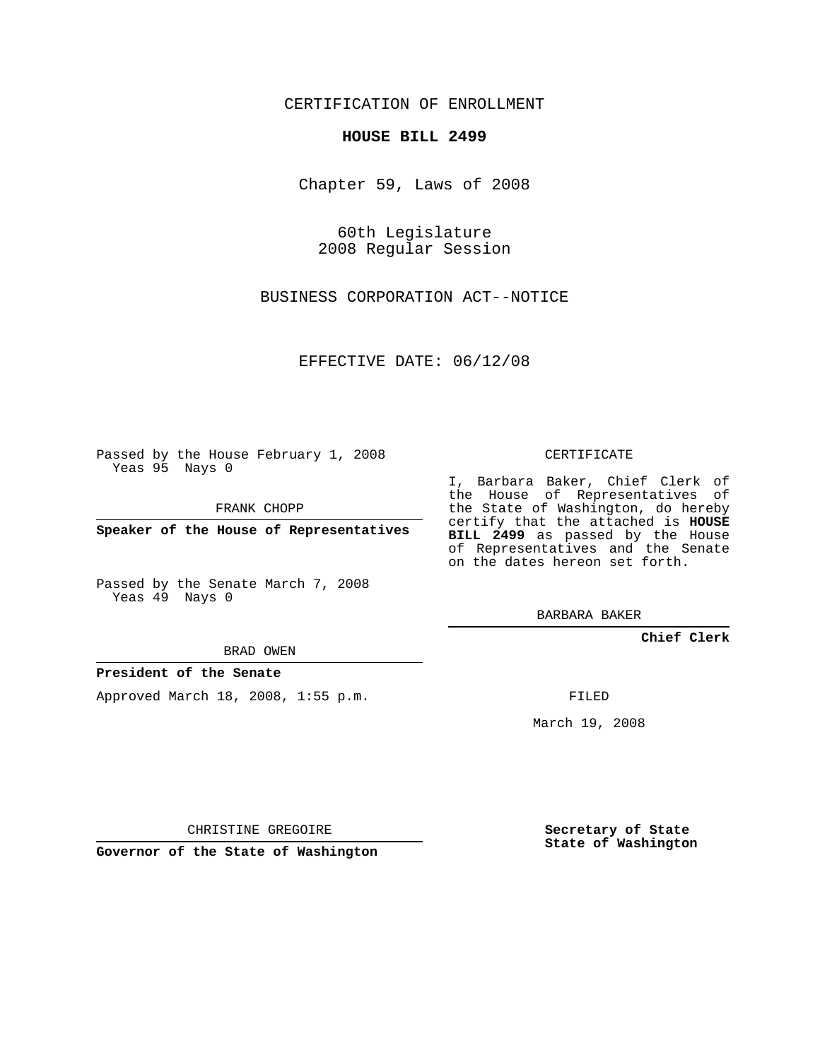CERTIFICATION OF ENROLLMENT

## **HOUSE BILL 2499**

Chapter 59, Laws of 2008

60th Legislature 2008 Regular Session

BUSINESS CORPORATION ACT--NOTICE

EFFECTIVE DATE: 06/12/08

Passed by the House February 1, 2008 Yeas 95 Nays 0

FRANK CHOPP

**Speaker of the House of Representatives**

Passed by the Senate March 7, 2008 Yeas 49 Nays 0

BRAD OWEN

## **President of the Senate**

Approved March 18, 2008, 1:55 p.m.

CERTIFICATE

I, Barbara Baker, Chief Clerk of the House of Representatives of the State of Washington, do hereby certify that the attached is **HOUSE BILL 2499** as passed by the House of Representatives and the Senate on the dates hereon set forth.

BARBARA BAKER

**Chief Clerk**

FILED

March 19, 2008

CHRISTINE GREGOIRE

**Governor of the State of Washington**

**Secretary of State State of Washington**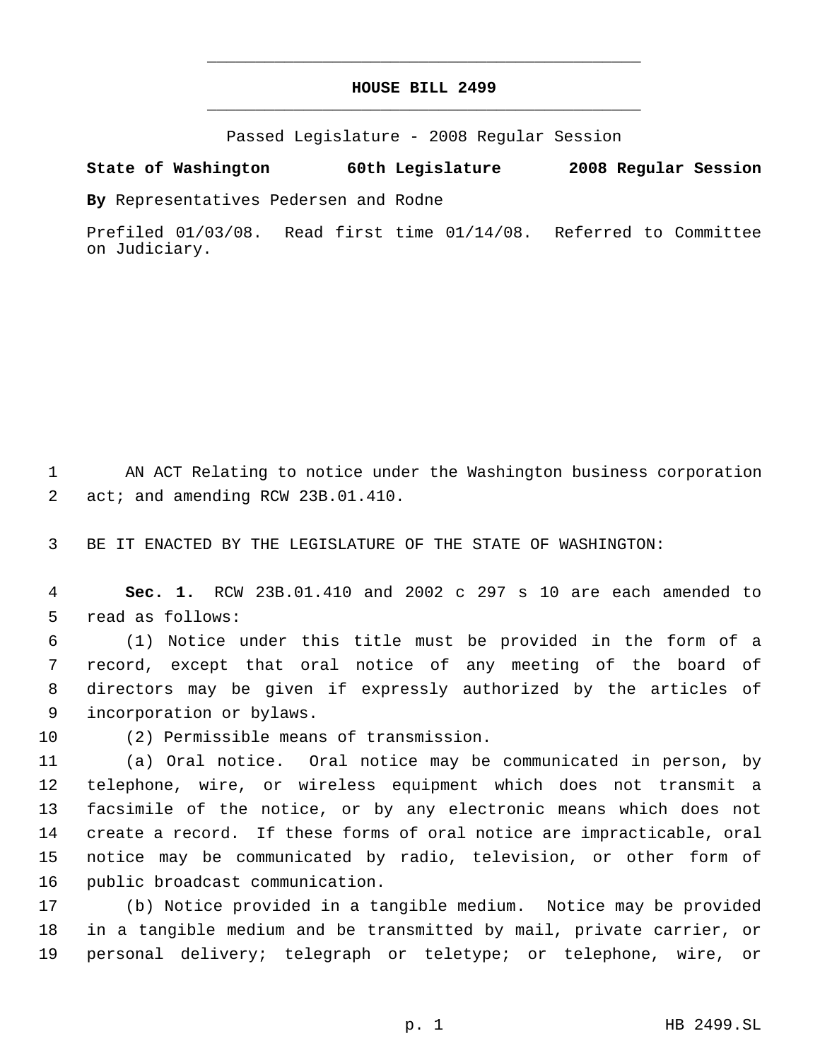## **HOUSE BILL 2499** \_\_\_\_\_\_\_\_\_\_\_\_\_\_\_\_\_\_\_\_\_\_\_\_\_\_\_\_\_\_\_\_\_\_\_\_\_\_\_\_\_\_\_\_\_

\_\_\_\_\_\_\_\_\_\_\_\_\_\_\_\_\_\_\_\_\_\_\_\_\_\_\_\_\_\_\_\_\_\_\_\_\_\_\_\_\_\_\_\_\_

Passed Legislature - 2008 Regular Session

## **State of Washington 60th Legislature 2008 Regular Session**

**By** Representatives Pedersen and Rodne

Prefiled 01/03/08. Read first time 01/14/08. Referred to Committee on Judiciary.

 AN ACT Relating to notice under the Washington business corporation 2 act; and amending RCW 23B.01.410.

BE IT ENACTED BY THE LEGISLATURE OF THE STATE OF WASHINGTON:

 **Sec. 1.** RCW 23B.01.410 and 2002 c 297 s 10 are each amended to read as follows:

 (1) Notice under this title must be provided in the form of a record, except that oral notice of any meeting of the board of directors may be given if expressly authorized by the articles of incorporation or bylaws.

(2) Permissible means of transmission.

 (a) Oral notice. Oral notice may be communicated in person, by telephone, wire, or wireless equipment which does not transmit a facsimile of the notice, or by any electronic means which does not create a record. If these forms of oral notice are impracticable, oral notice may be communicated by radio, television, or other form of public broadcast communication.

 (b) Notice provided in a tangible medium. Notice may be provided in a tangible medium and be transmitted by mail, private carrier, or personal delivery; telegraph or teletype; or telephone, wire, or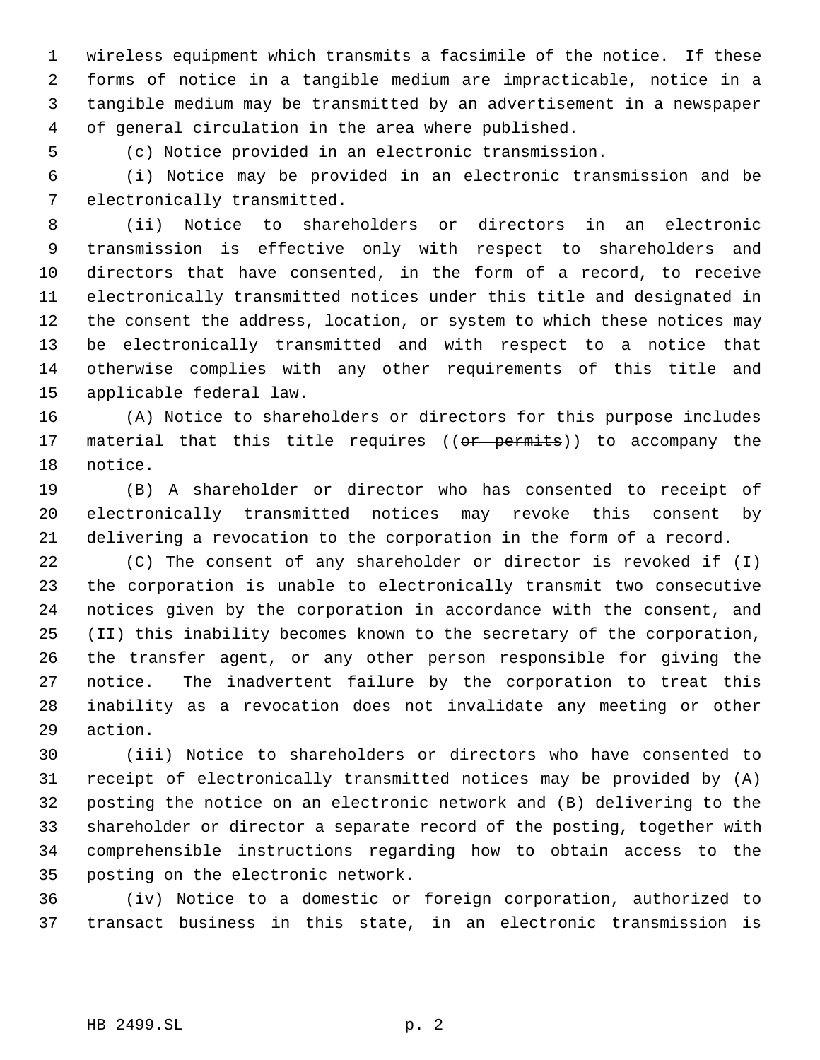wireless equipment which transmits a facsimile of the notice. If these forms of notice in a tangible medium are impracticable, notice in a tangible medium may be transmitted by an advertisement in a newspaper of general circulation in the area where published.

(c) Notice provided in an electronic transmission.

 (i) Notice may be provided in an electronic transmission and be electronically transmitted.

 (ii) Notice to shareholders or directors in an electronic transmission is effective only with respect to shareholders and directors that have consented, in the form of a record, to receive electronically transmitted notices under this title and designated in the consent the address, location, or system to which these notices may be electronically transmitted and with respect to a notice that otherwise complies with any other requirements of this title and applicable federal law.

 (A) Notice to shareholders or directors for this purpose includes 17 material that this title requires ((or permits)) to accompany the notice.

 (B) A shareholder or director who has consented to receipt of electronically transmitted notices may revoke this consent by delivering a revocation to the corporation in the form of a record.

 (C) The consent of any shareholder or director is revoked if (I) the corporation is unable to electronically transmit two consecutive notices given by the corporation in accordance with the consent, and (II) this inability becomes known to the secretary of the corporation, the transfer agent, or any other person responsible for giving the notice. The inadvertent failure by the corporation to treat this inability as a revocation does not invalidate any meeting or other action.

 (iii) Notice to shareholders or directors who have consented to receipt of electronically transmitted notices may be provided by (A) posting the notice on an electronic network and (B) delivering to the shareholder or director a separate record of the posting, together with comprehensible instructions regarding how to obtain access to the posting on the electronic network.

 (iv) Notice to a domestic or foreign corporation, authorized to transact business in this state, in an electronic transmission is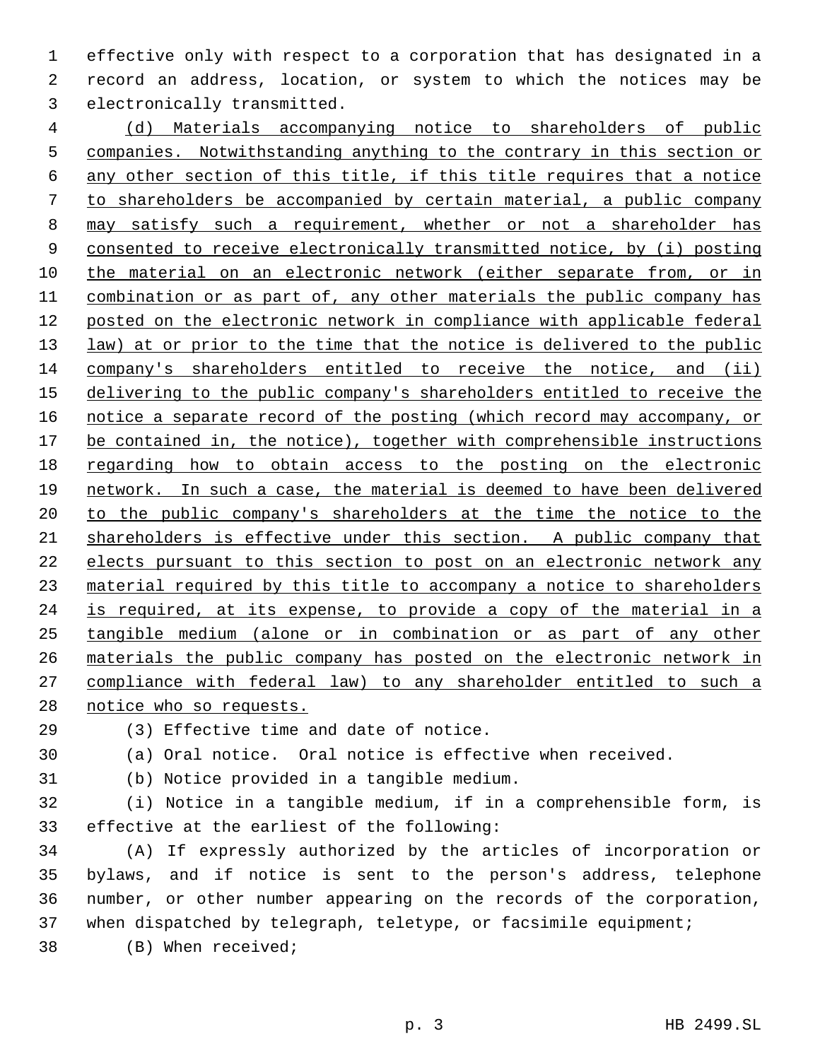effective only with respect to a corporation that has designated in a record an address, location, or system to which the notices may be electronically transmitted.

 (d) Materials accompanying notice to shareholders of public companies. Notwithstanding anything to the contrary in this section or any other section of this title, if this title requires that a notice to shareholders be accompanied by certain material, a public company may satisfy such a requirement, whether or not a shareholder has consented to receive electronically transmitted notice, by (i) posting the material on an electronic network (either separate from, or in combination or as part of, any other materials the public company has posted on the electronic network in compliance with applicable federal 13 law) at or prior to the time that the notice is delivered to the public company's shareholders entitled to receive the notice, and (ii) delivering to the public company's shareholders entitled to receive the 16 notice a separate record of the posting (which record may accompany, or 17 be contained in, the notice), together with comprehensible instructions regarding how to obtain access to the posting on the electronic network. In such a case, the material is deemed to have been delivered to the public company's shareholders at the time the notice to the shareholders is effective under this section. A public company that elects pursuant to this section to post on an electronic network any material required by this title to accompany a notice to shareholders 24 is required, at its expense, to provide a copy of the material in a tangible medium (alone or in combination or as part of any other materials the public company has posted on the electronic network in compliance with federal law) to any shareholder entitled to such a notice who so requests.

(3) Effective time and date of notice.

- (a) Oral notice. Oral notice is effective when received.
- (b) Notice provided in a tangible medium.
- (i) Notice in a tangible medium, if in a comprehensible form, is effective at the earliest of the following:

 (A) If expressly authorized by the articles of incorporation or bylaws, and if notice is sent to the person's address, telephone number, or other number appearing on the records of the corporation, when dispatched by telegraph, teletype, or facsimile equipment;

(B) When received;